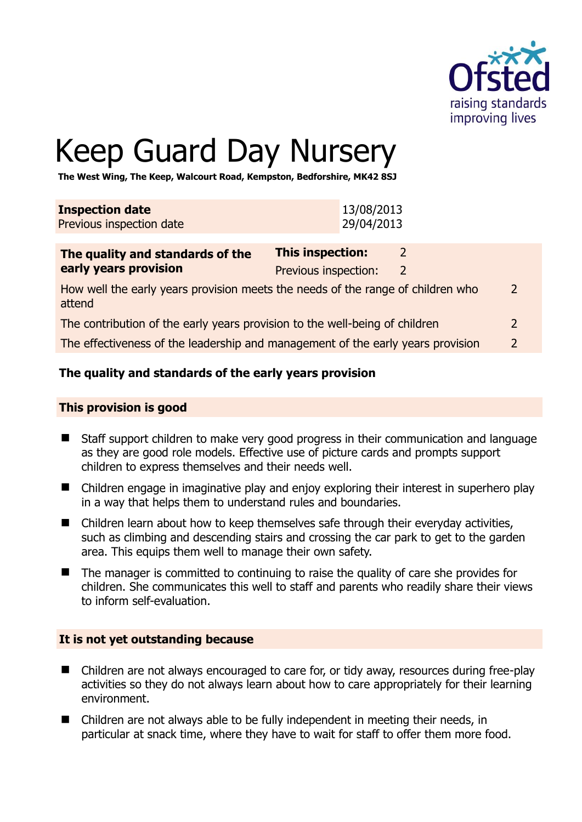

# Keep Guard Day Nursery

**The West Wing, The Keep, Walcourt Road, Kempston, Bedforshire, MK42 8SJ** 

| <b>Inspection date</b>   | 13/08/2013 |
|--------------------------|------------|
| Previous inspection date | 29/04/2013 |

| The quality and standards of the                                                          | <b>This inspection:</b> |  |               |
|-------------------------------------------------------------------------------------------|-------------------------|--|---------------|
| early years provision                                                                     | Previous inspection:    |  |               |
| How well the early years provision meets the needs of the range of children who<br>attend |                         |  | 2             |
| The contribution of the early years provision to the well-being of children               |                         |  | 2             |
| The effectiveness of the leadership and management of the early years provision           |                         |  | $\mathcal{L}$ |

# **The quality and standards of the early years provision**

#### **This provision is good**

- Staff support children to make very good progress in their communication and language as they are good role models. Effective use of picture cards and prompts support children to express themselves and their needs well.
- Children engage in imaginative play and enjoy exploring their interest in superhero play in a way that helps them to understand rules and boundaries.
- Children learn about how to keep themselves safe through their everyday activities, such as climbing and descending stairs and crossing the car park to get to the garden area. This equips them well to manage their own safety.
- The manager is committed to continuing to raise the quality of care she provides for children. She communicates this well to staff and parents who readily share their views to inform self-evaluation.

#### **It is not yet outstanding because**

- Children are not always encouraged to care for, or tidy away, resources during free-play activities so they do not always learn about how to care appropriately for their learning environment.
- Children are not always able to be fully independent in meeting their needs, in particular at snack time, where they have to wait for staff to offer them more food.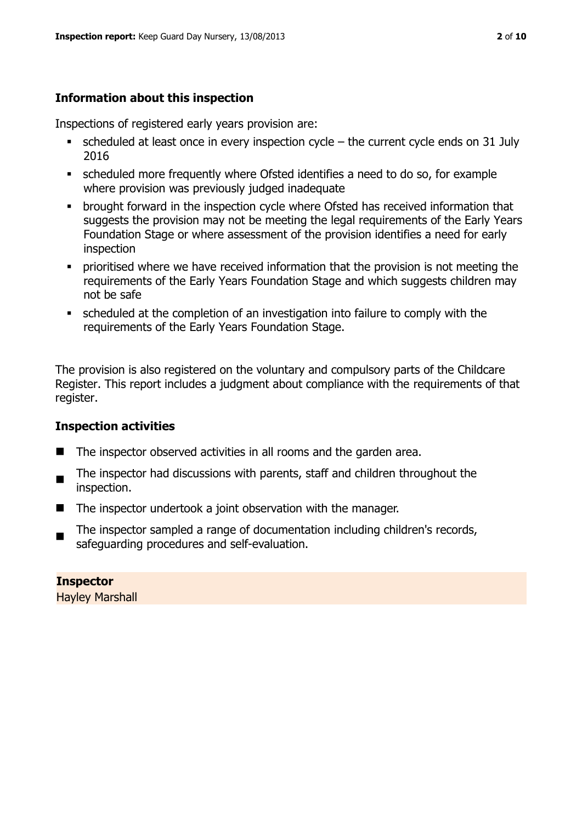# **Information about this inspection**

Inspections of registered early years provision are:

- $\bullet$  scheduled at least once in every inspection cycle the current cycle ends on 31 July 2016
- scheduled more frequently where Ofsted identifies a need to do so, for example where provision was previously judged inadequate
- **•** brought forward in the inspection cycle where Ofsted has received information that suggests the provision may not be meeting the legal requirements of the Early Years Foundation Stage or where assessment of the provision identifies a need for early inspection
- **•** prioritised where we have received information that the provision is not meeting the requirements of the Early Years Foundation Stage and which suggests children may not be safe
- scheduled at the completion of an investigation into failure to comply with the requirements of the Early Years Foundation Stage.

The provision is also registered on the voluntary and compulsory parts of the Childcare Register. This report includes a judgment about compliance with the requirements of that register.

# **Inspection activities**

- The inspector observed activities in all rooms and the garden area.
- $\blacksquare$ The inspector had discussions with parents, staff and children throughout the inspection.
- The inspector undertook a joint observation with the manager.
- The inspector sampled a range of documentation including children's records, safeguarding procedures and self-evaluation.

**Inspector**  Hayley Marshall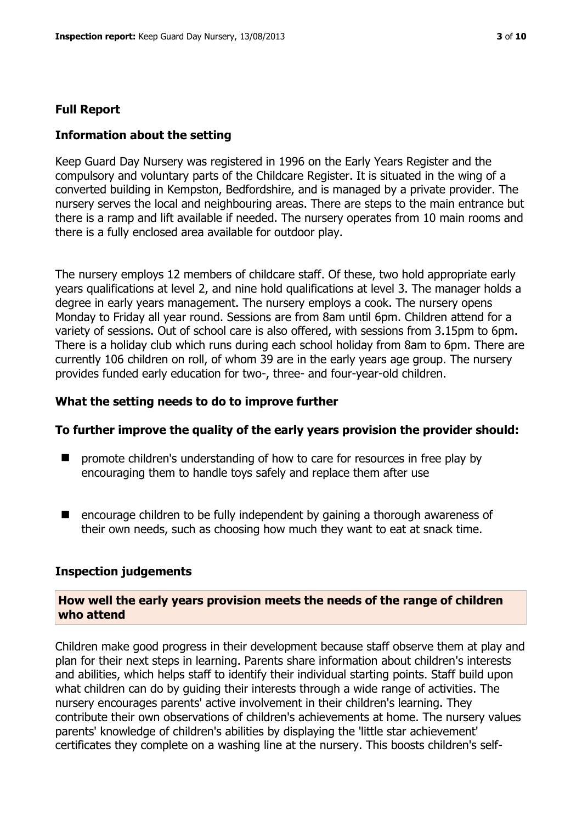#### **Full Report**

#### **Information about the setting**

Keep Guard Day Nursery was registered in 1996 on the Early Years Register and the compulsory and voluntary parts of the Childcare Register. It is situated in the wing of a converted building in Kempston, Bedfordshire, and is managed by a private provider. The nursery serves the local and neighbouring areas. There are steps to the main entrance but there is a ramp and lift available if needed. The nursery operates from 10 main rooms and there is a fully enclosed area available for outdoor play.

The nursery employs 12 members of childcare staff. Of these, two hold appropriate early years qualifications at level 2, and nine hold qualifications at level 3. The manager holds a degree in early years management. The nursery employs a cook. The nursery opens Monday to Friday all year round. Sessions are from 8am until 6pm. Children attend for a variety of sessions. Out of school care is also offered, with sessions from 3.15pm to 6pm. There is a holiday club which runs during each school holiday from 8am to 6pm. There are currently 106 children on roll, of whom 39 are in the early years age group. The nursery provides funded early education for two-, three- and four-year-old children.

#### **What the setting needs to do to improve further**

#### **To further improve the quality of the early years provision the provider should:**

- $\blacksquare$  promote children's understanding of how to care for resources in free play by encouraging them to handle toys safely and replace them after use
- encourage children to be fully independent by gaining a thorough awareness of their own needs, such as choosing how much they want to eat at snack time.

#### **Inspection judgements**

#### **How well the early years provision meets the needs of the range of children who attend**

Children make good progress in their development because staff observe them at play and plan for their next steps in learning. Parents share information about children's interests and abilities, which helps staff to identify their individual starting points. Staff build upon what children can do by guiding their interests through a wide range of activities. The nursery encourages parents' active involvement in their children's learning. They contribute their own observations of children's achievements at home. The nursery values parents' knowledge of children's abilities by displaying the 'little star achievement' certificates they complete on a washing line at the nursery. This boosts children's self-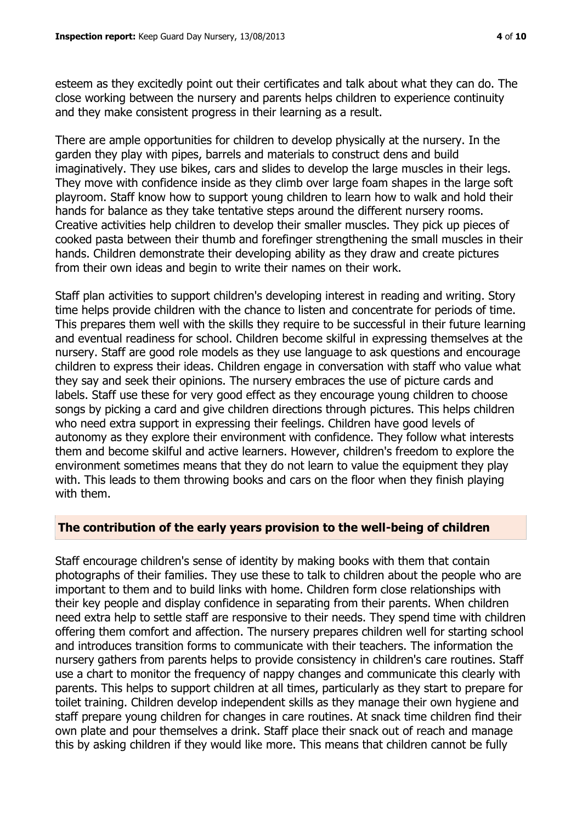esteem as they excitedly point out their certificates and talk about what they can do. The close working between the nursery and parents helps children to experience continuity and they make consistent progress in their learning as a result.

There are ample opportunities for children to develop physically at the nursery. In the garden they play with pipes, barrels and materials to construct dens and build imaginatively. They use bikes, cars and slides to develop the large muscles in their legs. They move with confidence inside as they climb over large foam shapes in the large soft playroom. Staff know how to support young children to learn how to walk and hold their hands for balance as they take tentative steps around the different nursery rooms. Creative activities help children to develop their smaller muscles. They pick up pieces of cooked pasta between their thumb and forefinger strengthening the small muscles in their hands. Children demonstrate their developing ability as they draw and create pictures from their own ideas and begin to write their names on their work.

Staff plan activities to support children's developing interest in reading and writing. Story time helps provide children with the chance to listen and concentrate for periods of time. This prepares them well with the skills they require to be successful in their future learning and eventual readiness for school. Children become skilful in expressing themselves at the nursery. Staff are good role models as they use language to ask questions and encourage children to express their ideas. Children engage in conversation with staff who value what they say and seek their opinions. The nursery embraces the use of picture cards and labels. Staff use these for very good effect as they encourage young children to choose songs by picking a card and give children directions through pictures. This helps children who need extra support in expressing their feelings. Children have good levels of autonomy as they explore their environment with confidence. They follow what interests them and become skilful and active learners. However, children's freedom to explore the environment sometimes means that they do not learn to value the equipment they play with. This leads to them throwing books and cars on the floor when they finish playing with them.

#### **The contribution of the early years provision to the well-being of children**

Staff encourage children's sense of identity by making books with them that contain photographs of their families. They use these to talk to children about the people who are important to them and to build links with home. Children form close relationships with their key people and display confidence in separating from their parents. When children need extra help to settle staff are responsive to their needs. They spend time with children offering them comfort and affection. The nursery prepares children well for starting school and introduces transition forms to communicate with their teachers. The information the nursery gathers from parents helps to provide consistency in children's care routines. Staff use a chart to monitor the frequency of nappy changes and communicate this clearly with parents. This helps to support children at all times, particularly as they start to prepare for toilet training. Children develop independent skills as they manage their own hygiene and staff prepare young children for changes in care routines. At snack time children find their own plate and pour themselves a drink. Staff place their snack out of reach and manage this by asking children if they would like more. This means that children cannot be fully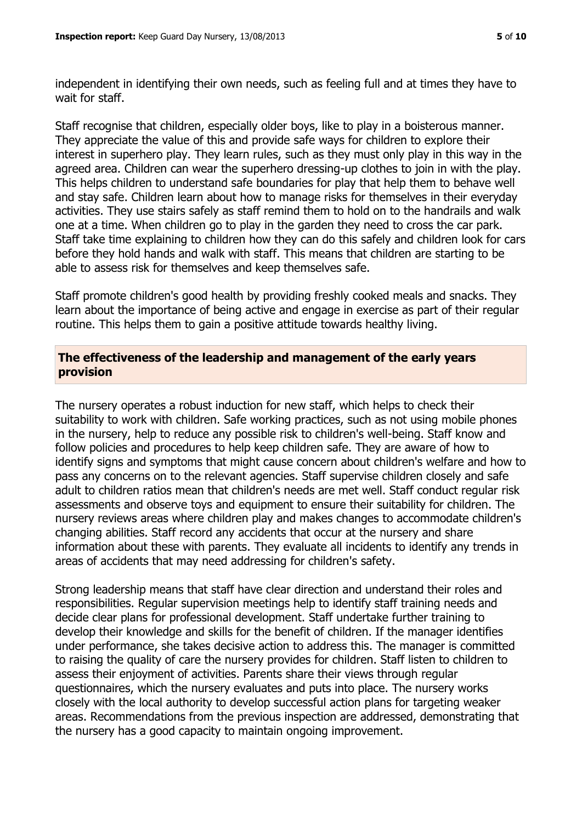independent in identifying their own needs, such as feeling full and at times they have to wait for staff.

Staff recognise that children, especially older boys, like to play in a boisterous manner. They appreciate the value of this and provide safe ways for children to explore their interest in superhero play. They learn rules, such as they must only play in this way in the agreed area. Children can wear the superhero dressing-up clothes to join in with the play. This helps children to understand safe boundaries for play that help them to behave well and stay safe. Children learn about how to manage risks for themselves in their everyday activities. They use stairs safely as staff remind them to hold on to the handrails and walk one at a time. When children go to play in the garden they need to cross the car park. Staff take time explaining to children how they can do this safely and children look for cars before they hold hands and walk with staff. This means that children are starting to be able to assess risk for themselves and keep themselves safe.

Staff promote children's good health by providing freshly cooked meals and snacks. They learn about the importance of being active and engage in exercise as part of their regular routine. This helps them to gain a positive attitude towards healthy living.

#### **The effectiveness of the leadership and management of the early years provision**

The nursery operates a robust induction for new staff, which helps to check their suitability to work with children. Safe working practices, such as not using mobile phones in the nursery, help to reduce any possible risk to children's well-being. Staff know and follow policies and procedures to help keep children safe. They are aware of how to identify signs and symptoms that might cause concern about children's welfare and how to pass any concerns on to the relevant agencies. Staff supervise children closely and safe adult to children ratios mean that children's needs are met well. Staff conduct regular risk assessments and observe toys and equipment to ensure their suitability for children. The nursery reviews areas where children play and makes changes to accommodate children's changing abilities. Staff record any accidents that occur at the nursery and share information about these with parents. They evaluate all incidents to identify any trends in areas of accidents that may need addressing for children's safety.

Strong leadership means that staff have clear direction and understand their roles and responsibilities. Regular supervision meetings help to identify staff training needs and decide clear plans for professional development. Staff undertake further training to develop their knowledge and skills for the benefit of children. If the manager identifies under performance, she takes decisive action to address this. The manager is committed to raising the quality of care the nursery provides for children. Staff listen to children to assess their enjoyment of activities. Parents share their views through regular questionnaires, which the nursery evaluates and puts into place. The nursery works closely with the local authority to develop successful action plans for targeting weaker areas. Recommendations from the previous inspection are addressed, demonstrating that the nursery has a good capacity to maintain ongoing improvement.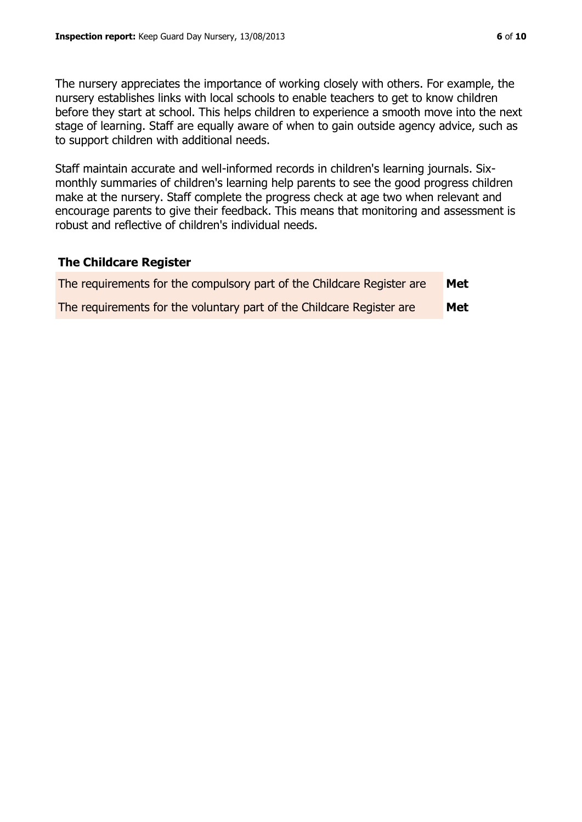The nursery appreciates the importance of working closely with others. For example, the nursery establishes links with local schools to enable teachers to get to know children before they start at school. This helps children to experience a smooth move into the next stage of learning. Staff are equally aware of when to gain outside agency advice, such as to support children with additional needs.

Staff maintain accurate and well-informed records in children's learning journals. Sixmonthly summaries of children's learning help parents to see the good progress children make at the nursery. Staff complete the progress check at age two when relevant and encourage parents to give their feedback. This means that monitoring and assessment is robust and reflective of children's individual needs.

#### **The Childcare Register**

| The requirements for the compulsory part of the Childcare Register are | Met |
|------------------------------------------------------------------------|-----|
| The requirements for the voluntary part of the Childcare Register are  | Met |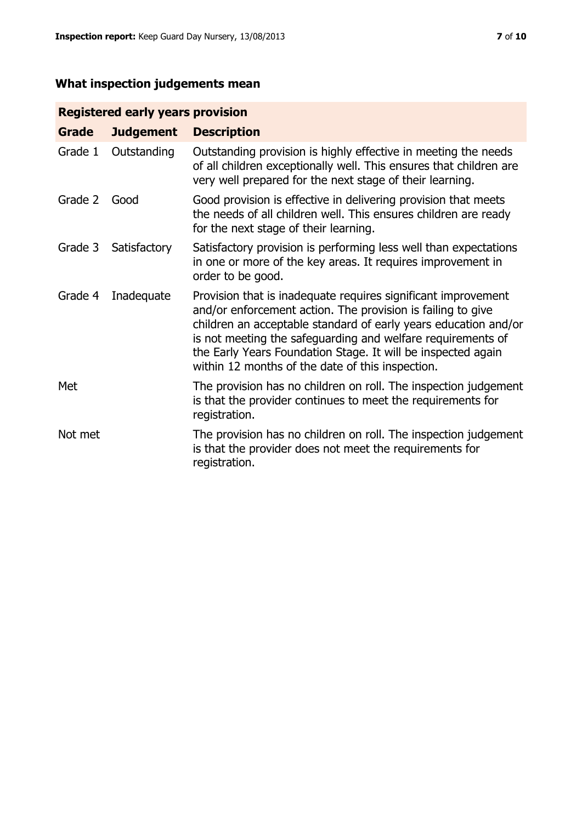# **What inspection judgements mean**

# **Registered early years provision**

| Grade   | <b>Judgement</b> | <b>Description</b>                                                                                                                                                                                                                                                                                                                                                                 |
|---------|------------------|------------------------------------------------------------------------------------------------------------------------------------------------------------------------------------------------------------------------------------------------------------------------------------------------------------------------------------------------------------------------------------|
| Grade 1 | Outstanding      | Outstanding provision is highly effective in meeting the needs<br>of all children exceptionally well. This ensures that children are<br>very well prepared for the next stage of their learning.                                                                                                                                                                                   |
| Grade 2 | Good             | Good provision is effective in delivering provision that meets<br>the needs of all children well. This ensures children are ready<br>for the next stage of their learning.                                                                                                                                                                                                         |
| Grade 3 | Satisfactory     | Satisfactory provision is performing less well than expectations<br>in one or more of the key areas. It requires improvement in<br>order to be good.                                                                                                                                                                                                                               |
| Grade 4 | Inadequate       | Provision that is inadequate requires significant improvement<br>and/or enforcement action. The provision is failing to give<br>children an acceptable standard of early years education and/or<br>is not meeting the safeguarding and welfare requirements of<br>the Early Years Foundation Stage. It will be inspected again<br>within 12 months of the date of this inspection. |
| Met     |                  | The provision has no children on roll. The inspection judgement<br>is that the provider continues to meet the requirements for<br>registration.                                                                                                                                                                                                                                    |
| Not met |                  | The provision has no children on roll. The inspection judgement<br>is that the provider does not meet the requirements for<br>registration.                                                                                                                                                                                                                                        |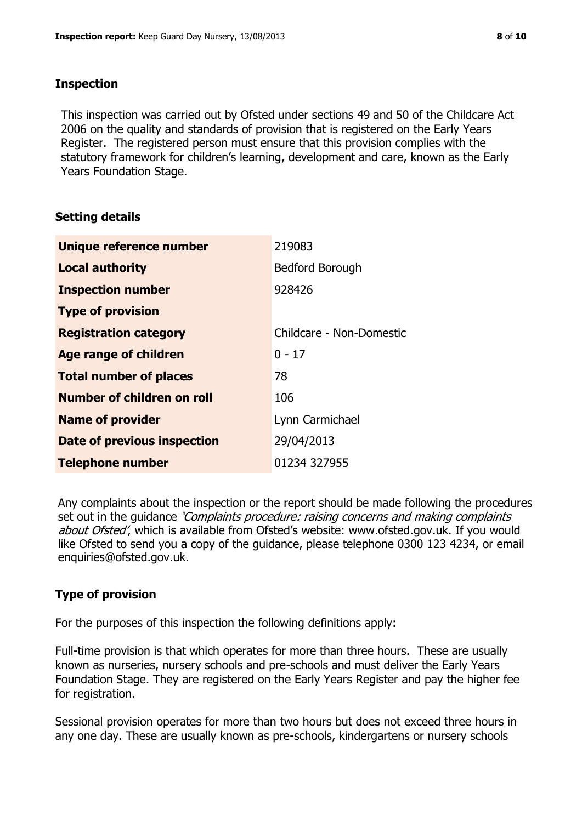#### **Inspection**

This inspection was carried out by Ofsted under sections 49 and 50 of the Childcare Act 2006 on the quality and standards of provision that is registered on the Early Years Register. The registered person must ensure that this provision complies with the statutory framework for children's learning, development and care, known as the Early Years Foundation Stage.

# **Setting details**

| Unique reference number       | 219083                   |
|-------------------------------|--------------------------|
| <b>Local authority</b>        | <b>Bedford Borough</b>   |
| <b>Inspection number</b>      | 928426                   |
| <b>Type of provision</b>      |                          |
| <b>Registration category</b>  | Childcare - Non-Domestic |
| <b>Age range of children</b>  | $0 - 17$                 |
| <b>Total number of places</b> | 78                       |
| Number of children on roll    | 106                      |
| <b>Name of provider</b>       | Lynn Carmichael          |
| Date of previous inspection   | 29/04/2013               |
| <b>Telephone number</b>       | 01234 327955             |

Any complaints about the inspection or the report should be made following the procedures set out in the guidance *'Complaints procedure: raising concerns and making complaints* about Ofsted', which is available from Ofsted's website: www.ofsted.gov.uk. If you would like Ofsted to send you a copy of the guidance, please telephone 0300 123 4234, or email enquiries@ofsted.gov.uk.

# **Type of provision**

For the purposes of this inspection the following definitions apply:

Full-time provision is that which operates for more than three hours. These are usually known as nurseries, nursery schools and pre-schools and must deliver the Early Years Foundation Stage. They are registered on the Early Years Register and pay the higher fee for registration.

Sessional provision operates for more than two hours but does not exceed three hours in any one day. These are usually known as pre-schools, kindergartens or nursery schools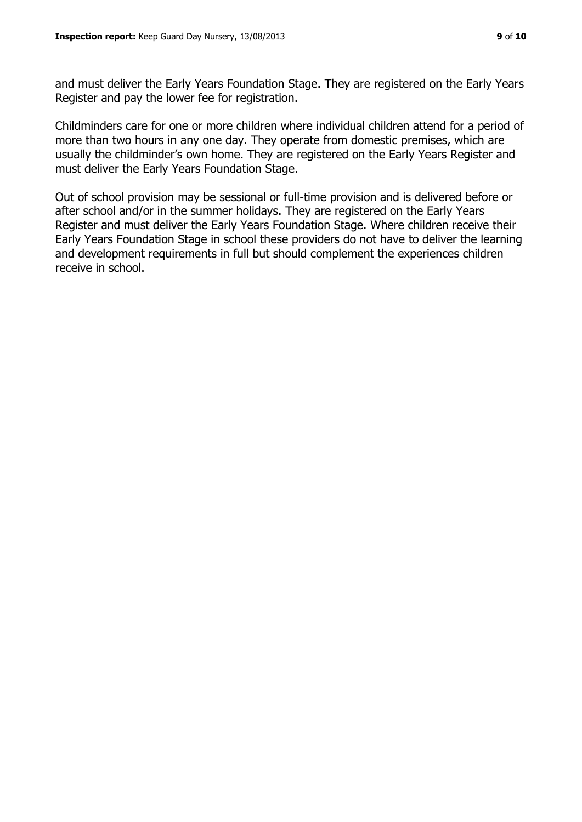and must deliver the Early Years Foundation Stage. They are registered on the Early Years Register and pay the lower fee for registration.

Childminders care for one or more children where individual children attend for a period of more than two hours in any one day. They operate from domestic premises, which are usually the childminder's own home. They are registered on the Early Years Register and must deliver the Early Years Foundation Stage.

Out of school provision may be sessional or full-time provision and is delivered before or after school and/or in the summer holidays. They are registered on the Early Years Register and must deliver the Early Years Foundation Stage. Where children receive their Early Years Foundation Stage in school these providers do not have to deliver the learning and development requirements in full but should complement the experiences children receive in school.